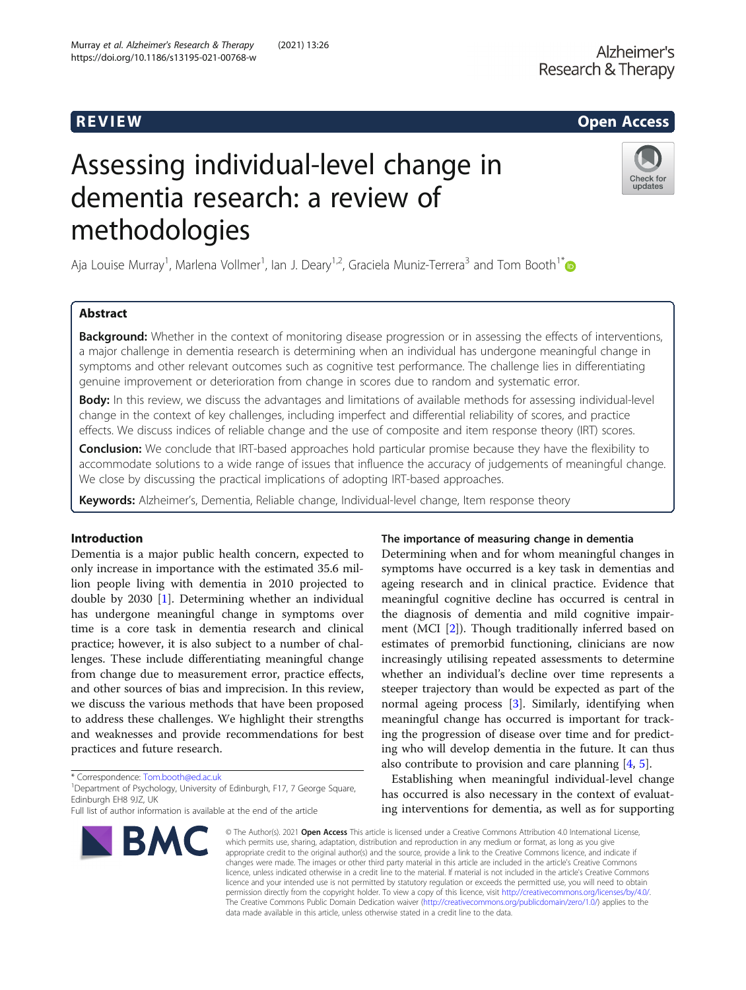# R EVI EW Open Access

# Assessing individual-level change in dementia research: a review of methodologies



Aja Louise Murray<sup>1</sup>, Marlena Vollmer<sup>1</sup>, Ian J. Deary<sup>1,2</sup>, Graciela Muniz-Terrera<sup>3</sup> and Tom Booth<sup>1[\\*](http://orcid.org/0000-0002-4235-1381)</sup>

# Abstract

Background: Whether in the context of monitoring disease progression or in assessing the effects of interventions, a major challenge in dementia research is determining when an individual has undergone meaningful change in symptoms and other relevant outcomes such as cognitive test performance. The challenge lies in differentiating genuine improvement or deterioration from change in scores due to random and systematic error.

Body: In this review, we discuss the advantages and limitations of available methods for assessing individual-level change in the context of key challenges, including imperfect and differential reliability of scores, and practice effects. We discuss indices of reliable change and the use of composite and item response theory (IRT) scores.

Conclusion: We conclude that IRT-based approaches hold particular promise because they have the flexibility to accommodate solutions to a wide range of issues that influence the accuracy of judgements of meaningful change. We close by discussing the practical implications of adopting IRT-based approaches.

Keywords: Alzheimer's, Dementia, Reliable change, Individual-level change, Item response theory

## Introduction

Dementia is a major public health concern, expected to only increase in importance with the estimated 35.6 million people living with dementia in 2010 projected to double by 2030 [\[1\]](#page-11-0). Determining whether an individual has undergone meaningful change in symptoms over time is a core task in dementia research and clinical practice; however, it is also subject to a number of challenges. These include differentiating meaningful change from change due to measurement error, practice effects, and other sources of bias and imprecision. In this review, we discuss the various methods that have been proposed to address these challenges. We highlight their strengths and weaknesses and provide recommendations for best practices and future research.

\* Correspondence: [Tom.booth@ed.ac.uk](mailto:Tom.booth@ed.ac.uk) <sup>1</sup>

<sup>1</sup>Department of Psychology, University of Edinburgh, F17, 7 George Square, Edinburgh EH8 9JZ, UK

Full list of author information is available at the end of the article



## The importance of measuring change in dementia

Determining when and for whom meaningful changes in symptoms have occurred is a key task in dementias and ageing research and in clinical practice. Evidence that meaningful cognitive decline has occurred is central in the diagnosis of dementia and mild cognitive impairment (MCI [[2\]](#page-11-0)). Though traditionally inferred based on estimates of premorbid functioning, clinicians are now increasingly utilising repeated assessments to determine whether an individual's decline over time represents a steeper trajectory than would be expected as part of the normal ageing process [\[3](#page-11-0)]. Similarly, identifying when meaningful change has occurred is important for tracking the progression of disease over time and for predicting who will develop dementia in the future. It can thus also contribute to provision and care planning [\[4](#page-11-0), [5](#page-11-0)].

Establishing when meaningful individual-level change has occurred is also necessary in the context of evaluating interventions for dementia, as well as for supporting

© The Author(s), 2021 **Open Access** This article is licensed under a Creative Commons Attribution 4.0 International License, which permits use, sharing, adaptation, distribution and reproduction in any medium or format, as long as you give appropriate credit to the original author(s) and the source, provide a link to the Creative Commons licence, and indicate if changes were made. The images or other third party material in this article are included in the article's Creative Commons licence, unless indicated otherwise in a credit line to the material. If material is not included in the article's Creative Commons licence and your intended use is not permitted by statutory regulation or exceeds the permitted use, you will need to obtain permission directly from the copyright holder. To view a copy of this licence, visit [http://creativecommons.org/licenses/by/4.0/.](http://creativecommons.org/licenses/by/4.0/) The Creative Commons Public Domain Dedication waiver [\(http://creativecommons.org/publicdomain/zero/1.0/](http://creativecommons.org/publicdomain/zero/1.0/)) applies to the data made available in this article, unless otherwise stated in a credit line to the data.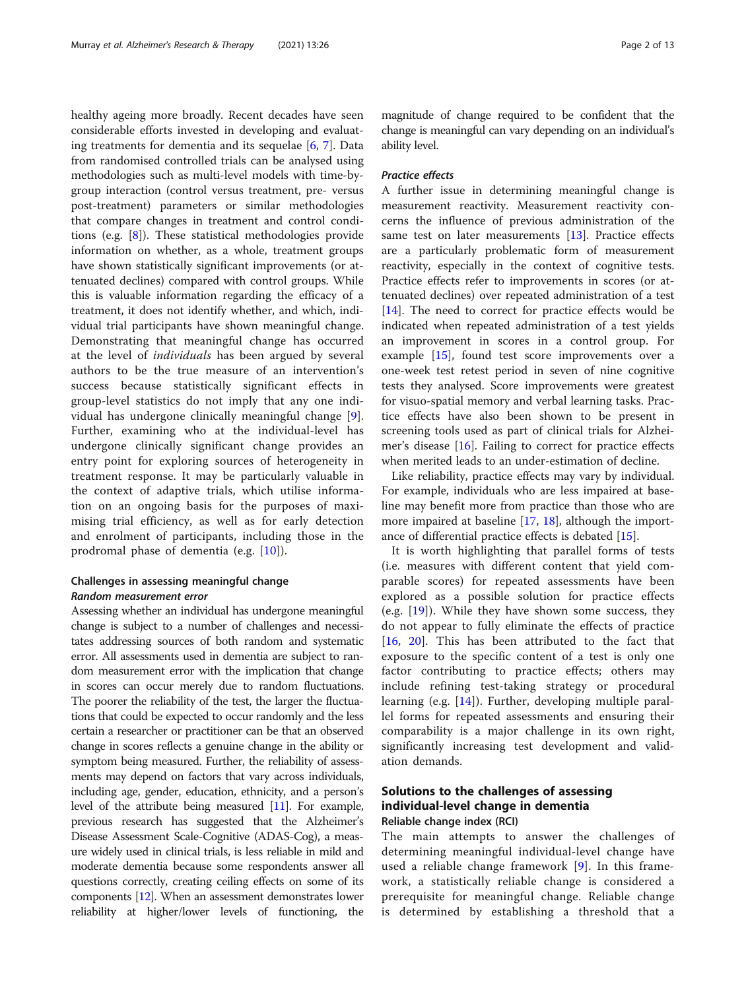healthy ageing more broadly. Recent decades have seen considerable efforts invested in developing and evaluating treatments for dementia and its sequelae [[6,](#page-11-0) [7\]](#page-11-0). Data from randomised controlled trials can be analysed using methodologies such as multi-level models with time-bygroup interaction (control versus treatment, pre- versus post-treatment) parameters or similar methodologies that compare changes in treatment and control conditions (e.g. [[8\]](#page-11-0)). These statistical methodologies provide information on whether, as a whole, treatment groups have shown statistically significant improvements (or attenuated declines) compared with control groups. While this is valuable information regarding the efficacy of a treatment, it does not identify whether, and which, individual trial participants have shown meaningful change. Demonstrating that meaningful change has occurred at the level of individuals has been argued by several authors to be the true measure of an intervention's success because statistically significant effects in group-level statistics do not imply that any one individual has undergone clinically meaningful change [\[9](#page-11-0)]. Further, examining who at the individual-level has undergone clinically significant change provides an entry point for exploring sources of heterogeneity in treatment response. It may be particularly valuable in the context of adaptive trials, which utilise information on an ongoing basis for the purposes of maximising trial efficiency, as well as for early detection and enrolment of participants, including those in the prodromal phase of dementia (e.g. [[10\]](#page-11-0)).

## Challenges in assessing meaningful change Random measurement error

Assessing whether an individual has undergone meaningful change is subject to a number of challenges and necessitates addressing sources of both random and systematic error. All assessments used in dementia are subject to random measurement error with the implication that change in scores can occur merely due to random fluctuations. The poorer the reliability of the test, the larger the fluctuations that could be expected to occur randomly and the less certain a researcher or practitioner can be that an observed change in scores reflects a genuine change in the ability or symptom being measured. Further, the reliability of assessments may depend on factors that vary across individuals, including age, gender, education, ethnicity, and a person's level of the attribute being measured [\[11\]](#page-11-0). For example, previous research has suggested that the Alzheimer's Disease Assessment Scale-Cognitive (ADAS-Cog), a measure widely used in clinical trials, is less reliable in mild and moderate dementia because some respondents answer all questions correctly, creating ceiling effects on some of its components [\[12](#page-11-0)]. When an assessment demonstrates lower reliability at higher/lower levels of functioning, the

magnitude of change required to be confident that the change is meaningful can vary depending on an individual's ability level.

## Practice effects

A further issue in determining meaningful change is measurement reactivity. Measurement reactivity concerns the influence of previous administration of the same test on later measurements [\[13](#page-11-0)]. Practice effects are a particularly problematic form of measurement reactivity, especially in the context of cognitive tests. Practice effects refer to improvements in scores (or attenuated declines) over repeated administration of a test [[14\]](#page-11-0). The need to correct for practice effects would be indicated when repeated administration of a test yields an improvement in scores in a control group. For example [[15\]](#page-11-0), found test score improvements over a one-week test retest period in seven of nine cognitive tests they analysed. Score improvements were greatest for visuo-spatial memory and verbal learning tasks. Practice effects have also been shown to be present in screening tools used as part of clinical trials for Alzheimer's disease [\[16\]](#page-11-0). Failing to correct for practice effects when merited leads to an under-estimation of decline.

Like reliability, practice effects may vary by individual. For example, individuals who are less impaired at baseline may benefit more from practice than those who are more impaired at baseline [\[17](#page-11-0), [18](#page-11-0)], although the importance of differential practice effects is debated [\[15](#page-11-0)].

It is worth highlighting that parallel forms of tests (i.e. measures with different content that yield comparable scores) for repeated assessments have been explored as a possible solution for practice effects (e.g.  $[19]$  $[19]$ ). While they have shown some success, they do not appear to fully eliminate the effects of practice [[16,](#page-11-0) [20\]](#page-11-0). This has been attributed to the fact that exposure to the specific content of a test is only one factor contributing to practice effects; others may include refining test-taking strategy or procedural learning (e.g. [[14\]](#page-11-0)). Further, developing multiple parallel forms for repeated assessments and ensuring their comparability is a major challenge in its own right, significantly increasing test development and validation demands.

## Solutions to the challenges of assessing individual-level change in dementia Reliable change index (RCI)

The main attempts to answer the challenges of determining meaningful individual-level change have used a reliable change framework [\[9\]](#page-11-0). In this framework, a statistically reliable change is considered a prerequisite for meaningful change. Reliable change is determined by establishing a threshold that a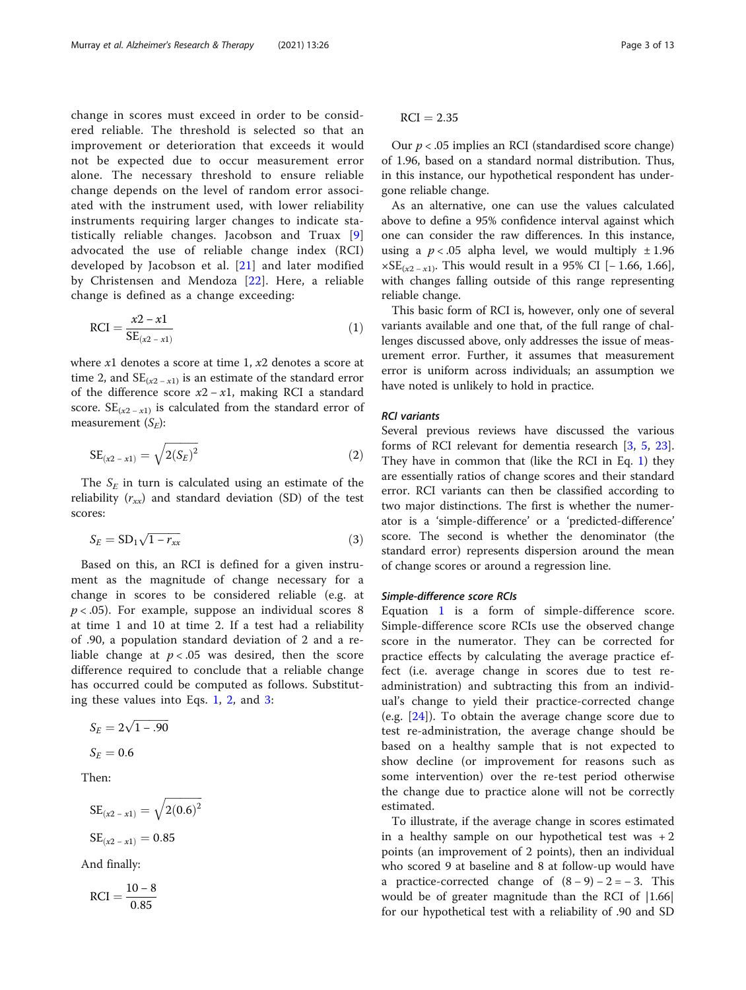<span id="page-2-0"></span>change in scores must exceed in order to be considered reliable. The threshold is selected so that an improvement or deterioration that exceeds it would not be expected due to occur measurement error alone. The necessary threshold to ensure reliable change depends on the level of random error associated with the instrument used, with lower reliability instruments requiring larger changes to indicate statistically reliable changes. Jacobson and Truax [\[9](#page-11-0)] advocated the use of reliable change index (RCI) developed by Jacobson et al. [[21](#page-11-0)] and later modified by Christensen and Mendoza [[22\]](#page-11-0). Here, a reliable change is defined as a change exceeding:

$$
RCI = \frac{x2 - x1}{SE_{(x2 - x1)}}\tag{1}
$$

where  $x1$  denotes a score at time 1,  $x2$  denotes a score at time 2, and  $SE_{(x2-x1)}$  is an estimate of the standard error of the difference score  $x^2 - x^2$ , making RCI a standard score.  $SE_{(x2-x1)}$  is calculated from the standard error of measurement  $(S_E)$ :

$$
SE_{(x2 - x1)} = \sqrt{2(S_E)^2}
$$
 (2)

The  $S_E$  in turn is calculated using an estimate of the reliability  $(r_{xx})$  and standard deviation (SD) of the test scores:

$$
S_E = SD_1 \sqrt{1 - r_{xx}} \tag{3}
$$

Based on this, an RCI is defined for a given instrument as the magnitude of change necessary for a change in scores to be considered reliable (e.g. at  $p < .05$ ). For example, suppose an individual scores 8 at time 1 and 10 at time 2. If a test had a reliability of .90, a population standard deviation of 2 and a reliable change at  $p < .05$  was desired, then the score difference required to conclude that a reliable change has occurred could be computed as follows. Substituting these values into Eqs. 1, 2, and 3:

$$
S_E = 2\sqrt{1 - .90}
$$

$$
S_E = 0.6
$$

Then:

$$
SE_{(x2 - x1)} = \sqrt{2(0.6)^2}
$$
  

$$
SE_{(x2 - x1)} = 0.85
$$

And finally:

$$
RCI = \frac{10-8}{0.85}
$$

 $RCI = 2.35$ 

Our  $p < .05$  implies an RCI (standardised score change) of 1.96, based on a standard normal distribution. Thus, in this instance, our hypothetical respondent has undergone reliable change.

As an alternative, one can use the values calculated above to define a 95% confidence interval against which one can consider the raw differences. In this instance, using a  $p < .05$  alpha level, we would multiply  $\pm 1.96$  $\times SE_{(x2 - x1)}$ . This would result in a 95% CI [-1.66, 1.66], with changes falling outside of this range representing reliable change.

This basic form of RCI is, however, only one of several variants available and one that, of the full range of challenges discussed above, only addresses the issue of measurement error. Further, it assumes that measurement error is uniform across individuals; an assumption we have noted is unlikely to hold in practice.

## RCI variants

Several previous reviews have discussed the various forms of RCI relevant for dementia research [[3,](#page-11-0) [5](#page-11-0), [23](#page-11-0)]. They have in common that (like the RCI in Eq. 1) they are essentially ratios of change scores and their standard error. RCI variants can then be classified according to two major distinctions. The first is whether the numerator is a 'simple-difference' or a 'predicted-difference' score. The second is whether the denominator (the standard error) represents dispersion around the mean of change scores or around a regression line.

#### Simple-difference score RCIs

Equation 1 is a form of simple-difference score. Simple-difference score RCIs use the observed change score in the numerator. They can be corrected for practice effects by calculating the average practice effect (i.e. average change in scores due to test readministration) and subtracting this from an individual's change to yield their practice-corrected change (e.g. [\[24](#page-11-0)]). To obtain the average change score due to test re-administration, the average change should be based on a healthy sample that is not expected to show decline (or improvement for reasons such as some intervention) over the re-test period otherwise the change due to practice alone will not be correctly estimated.

To illustrate, if the average change in scores estimated in a healthy sample on our hypothetical test was  $+2$ points (an improvement of 2 points), then an individual who scored 9 at baseline and 8 at follow-up would have a practice-corrected change of  $(8 - 9) - 2 = -3$ . This would be of greater magnitude than the RCI of |1.66| for our hypothetical test with a reliability of .90 and SD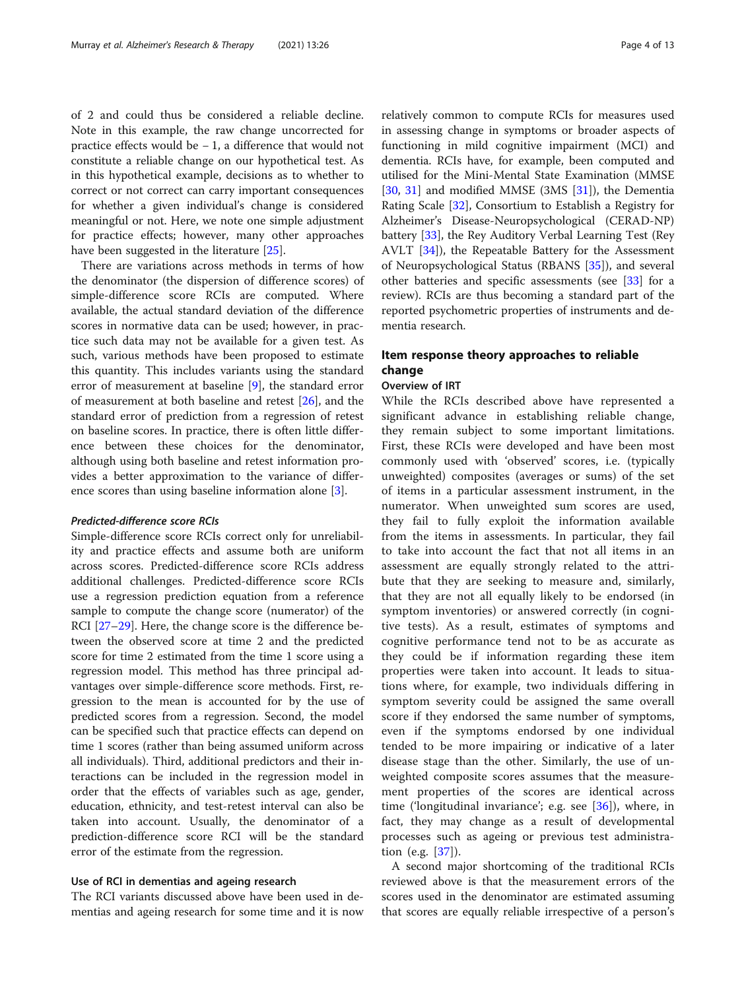of 2 and could thus be considered a reliable decline. Note in this example, the raw change uncorrected for practice effects would be − 1, a difference that would not constitute a reliable change on our hypothetical test. As in this hypothetical example, decisions as to whether to correct or not correct can carry important consequences for whether a given individual's change is considered meaningful or not. Here, we note one simple adjustment for practice effects; however, many other approaches have been suggested in the literature [\[25\]](#page-11-0).

There are variations across methods in terms of how the denominator (the dispersion of difference scores) of simple-difference score RCIs are computed. Where available, the actual standard deviation of the difference scores in normative data can be used; however, in practice such data may not be available for a given test. As such, various methods have been proposed to estimate this quantity. This includes variants using the standard error of measurement at baseline [\[9](#page-11-0)], the standard error of measurement at both baseline and retest [\[26](#page-11-0)], and the standard error of prediction from a regression of retest on baseline scores. In practice, there is often little difference between these choices for the denominator, although using both baseline and retest information provides a better approximation to the variance of difference scores than using baseline information alone [\[3](#page-11-0)].

#### Predicted-difference score RCIs

Simple-difference score RCIs correct only for unreliability and practice effects and assume both are uniform across scores. Predicted-difference score RCIs address additional challenges. Predicted-difference score RCIs use a regression prediction equation from a reference sample to compute the change score (numerator) of the RCI [[27](#page-11-0)–[29](#page-11-0)]. Here, the change score is the difference between the observed score at time 2 and the predicted score for time 2 estimated from the time 1 score using a regression model. This method has three principal advantages over simple-difference score methods. First, regression to the mean is accounted for by the use of predicted scores from a regression. Second, the model can be specified such that practice effects can depend on time 1 scores (rather than being assumed uniform across all individuals). Third, additional predictors and their interactions can be included in the regression model in order that the effects of variables such as age, gender, education, ethnicity, and test-retest interval can also be taken into account. Usually, the denominator of a prediction-difference score RCI will be the standard error of the estimate from the regression.

#### Use of RCI in dementias and ageing research

The RCI variants discussed above have been used in dementias and ageing research for some time and it is now

relatively common to compute RCIs for measures used in assessing change in symptoms or broader aspects of functioning in mild cognitive impairment (MCI) and dementia. RCIs have, for example, been computed and utilised for the Mini-Mental State Examination (MMSE [[30,](#page-12-0) [31](#page-12-0)] and modified MMSE (3MS [\[31](#page-12-0)]), the Dementia Rating Scale [\[32](#page-12-0)], Consortium to Establish a Registry for Alzheimer's Disease-Neuropsychological (CERAD-NP) battery [\[33](#page-12-0)], the Rey Auditory Verbal Learning Test (Rey AVLT [[34\]](#page-12-0)), the Repeatable Battery for the Assessment of Neuropsychological Status (RBANS [\[35](#page-12-0)]), and several other batteries and specific assessments (see [[33](#page-12-0)] for a review). RCIs are thus becoming a standard part of the reported psychometric properties of instruments and dementia research.

## Item response theory approaches to reliable change

## Overview of IRT

While the RCIs described above have represented a significant advance in establishing reliable change, they remain subject to some important limitations. First, these RCIs were developed and have been most commonly used with 'observed' scores, i.e. (typically unweighted) composites (averages or sums) of the set of items in a particular assessment instrument, in the numerator. When unweighted sum scores are used, they fail to fully exploit the information available from the items in assessments. In particular, they fail to take into account the fact that not all items in an assessment are equally strongly related to the attribute that they are seeking to measure and, similarly, that they are not all equally likely to be endorsed (in symptom inventories) or answered correctly (in cognitive tests). As a result, estimates of symptoms and cognitive performance tend not to be as accurate as they could be if information regarding these item properties were taken into account. It leads to situations where, for example, two individuals differing in symptom severity could be assigned the same overall score if they endorsed the same number of symptoms, even if the symptoms endorsed by one individual tended to be more impairing or indicative of a later disease stage than the other. Similarly, the use of unweighted composite scores assumes that the measurement properties of the scores are identical across time ('longitudinal invariance'; e.g. see  $[36]$  $[36]$ ), where, in fact, they may change as a result of developmental processes such as ageing or previous test administration (e.g. [\[37](#page-12-0)]).

A second major shortcoming of the traditional RCIs reviewed above is that the measurement errors of the scores used in the denominator are estimated assuming that scores are equally reliable irrespective of a person's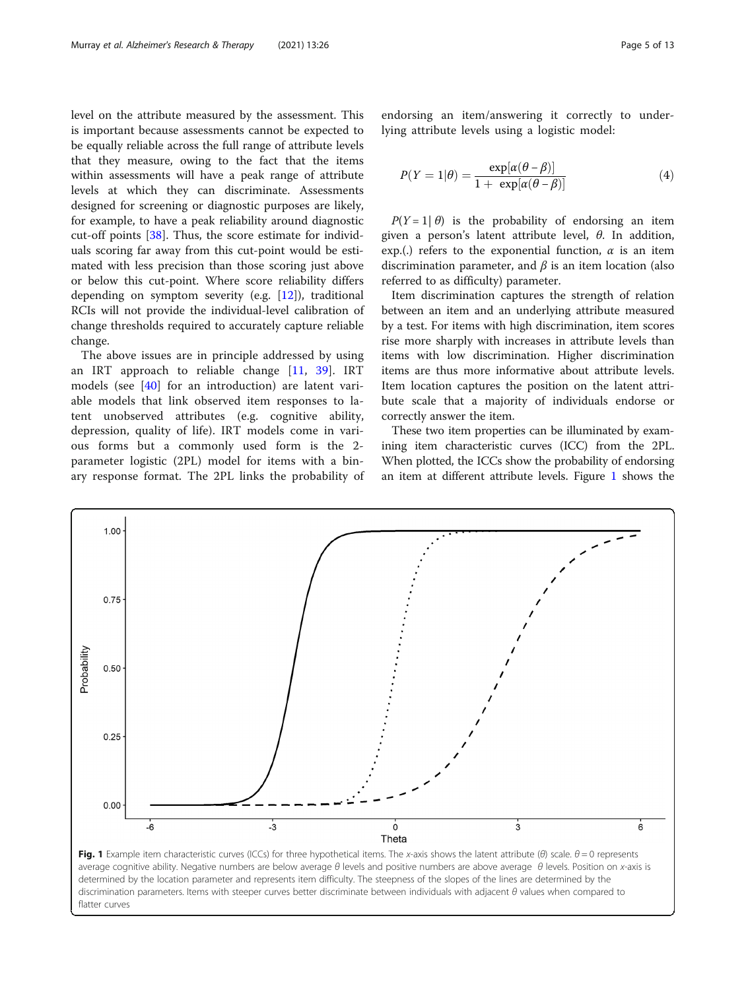level on the attribute measured by the assessment. This is important because assessments cannot be expected to be equally reliable across the full range of attribute levels that they measure, owing to the fact that the items within assessments will have a peak range of attribute levels at which they can discriminate. Assessments designed for screening or diagnostic purposes are likely, for example, to have a peak reliability around diagnostic cut-off points [[38](#page-12-0)]. Thus, the score estimate for individuals scoring far away from this cut-point would be estimated with less precision than those scoring just above or below this cut-point. Where score reliability differs depending on symptom severity (e.g. [[12\]](#page-11-0)), traditional RCIs will not provide the individual-level calibration of change thresholds required to accurately capture reliable change.

The above issues are in principle addressed by using an IRT approach to reliable change [\[11](#page-11-0), [39](#page-12-0)]. IRT models (see [\[40](#page-12-0)] for an introduction) are latent variable models that link observed item responses to latent unobserved attributes (e.g. cognitive ability, depression, quality of life). IRT models come in various forms but a commonly used form is the 2 parameter logistic (2PL) model for items with a binary response format. The 2PL links the probability of

endorsing an item/answering it correctly to underlying attribute levels using a logistic model:

$$
P(Y=1|\theta) = \frac{\exp[\alpha(\theta-\beta)]}{1+\exp[\alpha(\theta-\beta)]}
$$
(4)

 $P(Y = 1 | \theta)$  is the probability of endorsing an item given a person's latent attribute level,  $\theta$ . In addition, exp.(.) refers to the exponential function,  $\alpha$  is an item discrimination parameter, and  $\beta$  is an item location (also referred to as difficulty) parameter.

Item discrimination captures the strength of relation between an item and an underlying attribute measured by a test. For items with high discrimination, item scores rise more sharply with increases in attribute levels than items with low discrimination. Higher discrimination items are thus more informative about attribute levels. Item location captures the position on the latent attribute scale that a majority of individuals endorse or correctly answer the item.

These two item properties can be illuminated by examining item characteristic curves (ICC) from the 2PL. When plotted, the ICCs show the probability of endorsing an item at different attribute levels. Figure 1 shows the

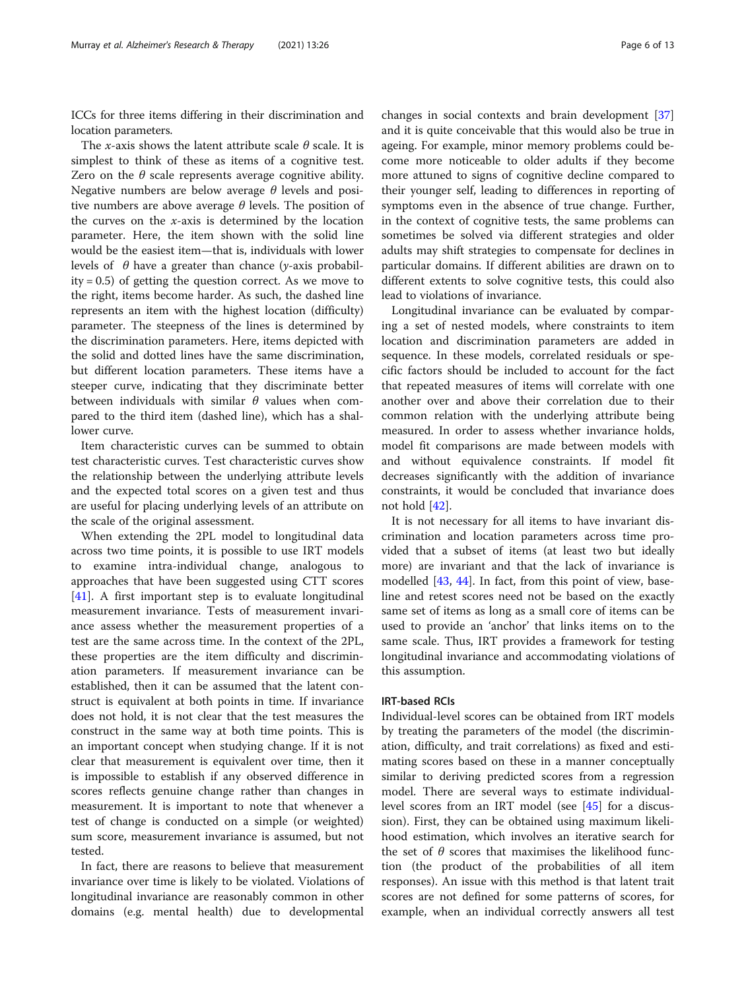ICCs for three items differing in their discrimination and location parameters.

The x-axis shows the latent attribute scale  $\theta$  scale. It is simplest to think of these as items of a cognitive test. Zero on the  $\theta$  scale represents average cognitive ability. Negative numbers are below average  $\theta$  levels and positive numbers are above average  $\theta$  levels. The position of the curves on the  $x$ -axis is determined by the location parameter. Here, the item shown with the solid line would be the easiest item—that is, individuals with lower levels of  $\theta$  have a greater than chance (y-axis probabil $ity = 0.5$ ) of getting the question correct. As we move to the right, items become harder. As such, the dashed line represents an item with the highest location (difficulty) parameter. The steepness of the lines is determined by the discrimination parameters. Here, items depicted with the solid and dotted lines have the same discrimination, but different location parameters. These items have a steeper curve, indicating that they discriminate better between individuals with similar  $\theta$  values when compared to the third item (dashed line), which has a shallower curve.

Item characteristic curves can be summed to obtain test characteristic curves. Test characteristic curves show the relationship between the underlying attribute levels and the expected total scores on a given test and thus are useful for placing underlying levels of an attribute on the scale of the original assessment.

When extending the 2PL model to longitudinal data across two time points, it is possible to use IRT models to examine intra-individual change, analogous to approaches that have been suggested using CTT scores [[41\]](#page-12-0). A first important step is to evaluate longitudinal measurement invariance. Tests of measurement invariance assess whether the measurement properties of a test are the same across time. In the context of the 2PL, these properties are the item difficulty and discrimination parameters. If measurement invariance can be established, then it can be assumed that the latent construct is equivalent at both points in time. If invariance does not hold, it is not clear that the test measures the construct in the same way at both time points. This is an important concept when studying change. If it is not clear that measurement is equivalent over time, then it is impossible to establish if any observed difference in scores reflects genuine change rather than changes in measurement. It is important to note that whenever a test of change is conducted on a simple (or weighted) sum score, measurement invariance is assumed, but not tested.

In fact, there are reasons to believe that measurement invariance over time is likely to be violated. Violations of longitudinal invariance are reasonably common in other domains (e.g. mental health) due to developmental

changes in social contexts and brain development [[37](#page-12-0)] and it is quite conceivable that this would also be true in ageing. For example, minor memory problems could become more noticeable to older adults if they become more attuned to signs of cognitive decline compared to their younger self, leading to differences in reporting of symptoms even in the absence of true change. Further, in the context of cognitive tests, the same problems can sometimes be solved via different strategies and older adults may shift strategies to compensate for declines in particular domains. If different abilities are drawn on to different extents to solve cognitive tests, this could also lead to violations of invariance.

Longitudinal invariance can be evaluated by comparing a set of nested models, where constraints to item location and discrimination parameters are added in sequence. In these models, correlated residuals or specific factors should be included to account for the fact that repeated measures of items will correlate with one another over and above their correlation due to their common relation with the underlying attribute being measured. In order to assess whether invariance holds, model fit comparisons are made between models with and without equivalence constraints. If model fit decreases significantly with the addition of invariance constraints, it would be concluded that invariance does not hold [[42\]](#page-12-0).

It is not necessary for all items to have invariant discrimination and location parameters across time provided that a subset of items (at least two but ideally more) are invariant and that the lack of invariance is modelled [[43,](#page-12-0) [44](#page-12-0)]. In fact, from this point of view, baseline and retest scores need not be based on the exactly same set of items as long as a small core of items can be used to provide an 'anchor' that links items on to the same scale. Thus, IRT provides a framework for testing longitudinal invariance and accommodating violations of this assumption.

## IRT-based RCIs

Individual-level scores can be obtained from IRT models by treating the parameters of the model (the discrimination, difficulty, and trait correlations) as fixed and estimating scores based on these in a manner conceptually similar to deriving predicted scores from a regression model. There are several ways to estimate individuallevel scores from an IRT model (see [\[45\]](#page-12-0) for a discussion). First, they can be obtained using maximum likelihood estimation, which involves an iterative search for the set of  $\theta$  scores that maximises the likelihood function (the product of the probabilities of all item responses). An issue with this method is that latent trait scores are not defined for some patterns of scores, for example, when an individual correctly answers all test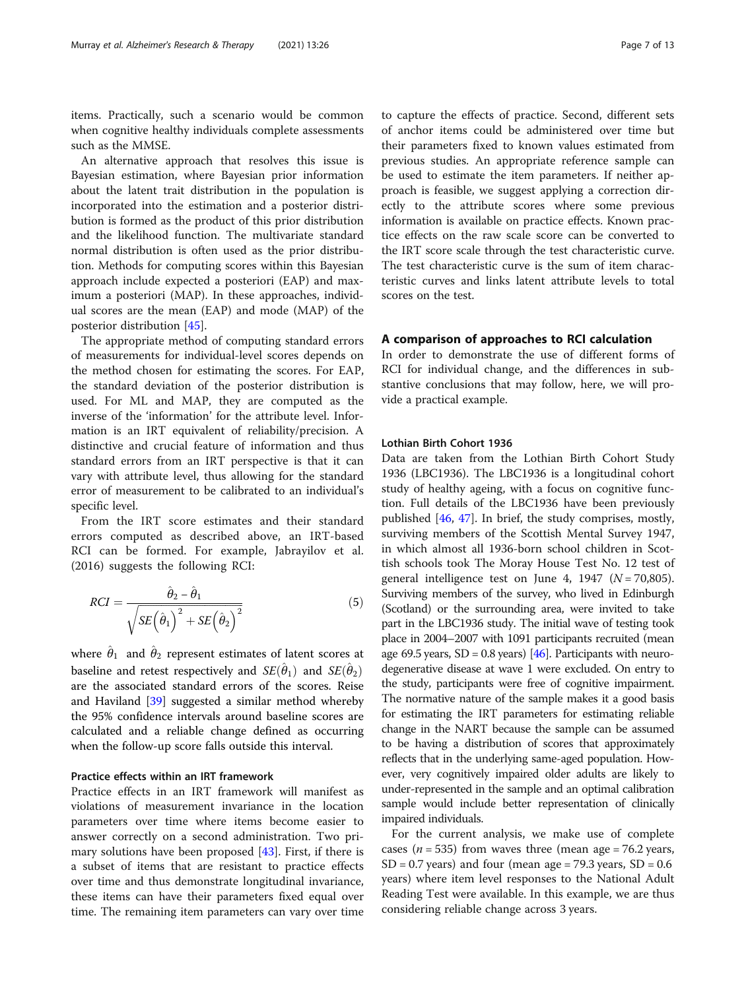items. Practically, such a scenario would be common when cognitive healthy individuals complete assessments such as the MMSE.

An alternative approach that resolves this issue is Bayesian estimation, where Bayesian prior information about the latent trait distribution in the population is incorporated into the estimation and a posterior distribution is formed as the product of this prior distribution and the likelihood function. The multivariate standard normal distribution is often used as the prior distribution. Methods for computing scores within this Bayesian approach include expected a posteriori (EAP) and maximum a posteriori (MAP). In these approaches, individual scores are the mean (EAP) and mode (MAP) of the posterior distribution [\[45\]](#page-12-0).

The appropriate method of computing standard errors of measurements for individual-level scores depends on the method chosen for estimating the scores. For EAP, the standard deviation of the posterior distribution is used. For ML and MAP, they are computed as the inverse of the 'information' for the attribute level. Information is an IRT equivalent of reliability/precision. A distinctive and crucial feature of information and thus standard errors from an IRT perspective is that it can vary with attribute level, thus allowing for the standard error of measurement to be calibrated to an individual's specific level.

From the IRT score estimates and their standard errors computed as described above, an IRT-based RCI can be formed. For example, Jabrayilov et al. (2016) suggests the following RCI:

$$
RCI = \frac{\hat{\theta}_2 - \hat{\theta}_1}{\sqrt{SE\left(\hat{\theta}_1\right)^2 + SE\left(\hat{\theta}_2\right)^2}}
$$
(5)

where  $\hat{\theta}_1$  and  $\hat{\theta}_2$  represent estimates of latent scores at baseline and retest respectively and  $SE(\hat{\theta}_1)$  and  $SE(\hat{\theta}_2)$ are the associated standard errors of the scores. Reise and Haviland [[39\]](#page-12-0) suggested a similar method whereby the 95% confidence intervals around baseline scores are calculated and a reliable change defined as occurring when the follow-up score falls outside this interval.

#### Practice effects within an IRT framework

Practice effects in an IRT framework will manifest as violations of measurement invariance in the location parameters over time where items become easier to answer correctly on a second administration. Two primary solutions have been proposed [\[43](#page-12-0)]. First, if there is a subset of items that are resistant to practice effects over time and thus demonstrate longitudinal invariance, these items can have their parameters fixed equal over time. The remaining item parameters can vary over time to capture the effects of practice. Second, different sets of anchor items could be administered over time but their parameters fixed to known values estimated from previous studies. An appropriate reference sample can be used to estimate the item parameters. If neither approach is feasible, we suggest applying a correction directly to the attribute scores where some previous information is available on practice effects. Known practice effects on the raw scale score can be converted to the IRT score scale through the test characteristic curve. The test characteristic curve is the sum of item characteristic curves and links latent attribute levels to total scores on the test.

## A comparison of approaches to RCI calculation

In order to demonstrate the use of different forms of RCI for individual change, and the differences in substantive conclusions that may follow, here, we will provide a practical example.

#### Lothian Birth Cohort 1936

Data are taken from the Lothian Birth Cohort Study 1936 (LBC1936). The LBC1936 is a longitudinal cohort study of healthy ageing, with a focus on cognitive function. Full details of the LBC1936 have been previously published [[46,](#page-12-0) [47\]](#page-12-0). In brief, the study comprises, mostly, surviving members of the Scottish Mental Survey 1947, in which almost all 1936-born school children in Scottish schools took The Moray House Test No. 12 test of general intelligence test on June 4, 1947 ( $N = 70,805$ ). Surviving members of the survey, who lived in Edinburgh (Scotland) or the surrounding area, were invited to take part in the LBC1936 study. The initial wave of testing took place in 2004–2007 with 1091 participants recruited (mean age 69.5 years,  $SD = 0.8$  years) [\[46\]](#page-12-0). Participants with neurodegenerative disease at wave 1 were excluded. On entry to the study, participants were free of cognitive impairment. The normative nature of the sample makes it a good basis for estimating the IRT parameters for estimating reliable change in the NART because the sample can be assumed to be having a distribution of scores that approximately reflects that in the underlying same-aged population. However, very cognitively impaired older adults are likely to under-represented in the sample and an optimal calibration sample would include better representation of clinically impaired individuals.

For the current analysis, we make use of complete cases ( $n = 535$ ) from waves three (mean age = 76.2 years,  $SD = 0.7$  years) and four (mean age = 79.3 years,  $SD = 0.6$ years) where item level responses to the National Adult Reading Test were available. In this example, we are thus considering reliable change across 3 years.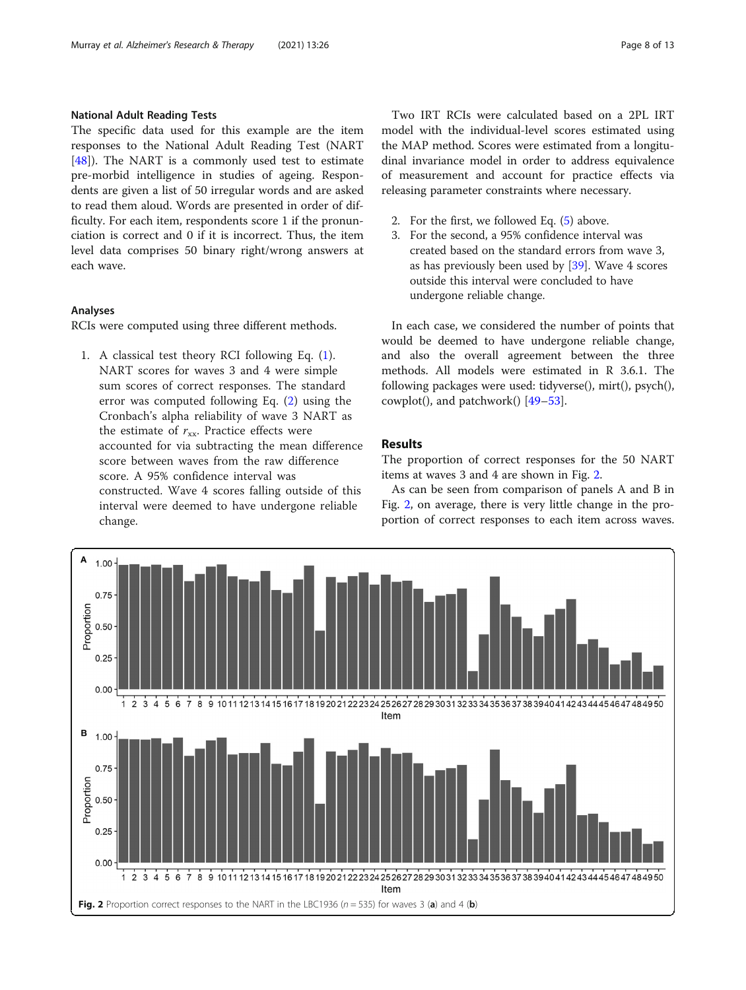## National Adult Reading Tests

The specific data used for this example are the item responses to the National Adult Reading Test (NART [[48\]](#page-12-0)). The NART is a commonly used test to estimate pre-morbid intelligence in studies of ageing. Respondents are given a list of 50 irregular words and are asked to read them aloud. Words are presented in order of difficulty. For each item, respondents score 1 if the pronunciation is correct and 0 if it is incorrect. Thus, the item level data comprises 50 binary right/wrong answers at each wave.

## Analyses

RCIs were computed using three different methods.

1. A classical test theory RCI following Eq. ([1\)](#page-2-0). NART scores for waves 3 and 4 were simple sum scores of correct responses. The standard error was computed following Eq. ([2\)](#page-2-0) using the Cronbach's alpha reliability of wave 3 NART as the estimate of  $r_{xx}$ . Practice effects were accounted for via subtracting the mean difference score between waves from the raw difference score. A 95% confidence interval was constructed. Wave 4 scores falling outside of this interval were deemed to have undergone reliable change.

Two IRT RCIs were calculated based on a 2PL IRT model with the individual-level scores estimated using the MAP method. Scores were estimated from a longitudinal invariance model in order to address equivalence of measurement and account for practice effects via releasing parameter constraints where necessary.

- 2. For the first, we followed Eq. [\(5](#page-2-0)) above.
- 3. For the second, a 95% confidence interval was created based on the standard errors from wave 3, as has previously been used by [[39](#page-12-0)]. Wave 4 scores outside this interval were concluded to have undergone reliable change.

In each case, we considered the number of points that would be deemed to have undergone reliable change, and also the overall agreement between the three methods. All models were estimated in R 3.6.1. The following packages were used: tidyverse(), mirt(), psych(), cowplot(), and patchwork() [\[49](#page-12-0)–[53\]](#page-12-0).

## Results

The proportion of correct responses for the 50 NART items at waves 3 and 4 are shown in Fig. 2.

As can be seen from comparison of panels A and B in Fig. 2, on average, there is very little change in the proportion of correct responses to each item across waves.

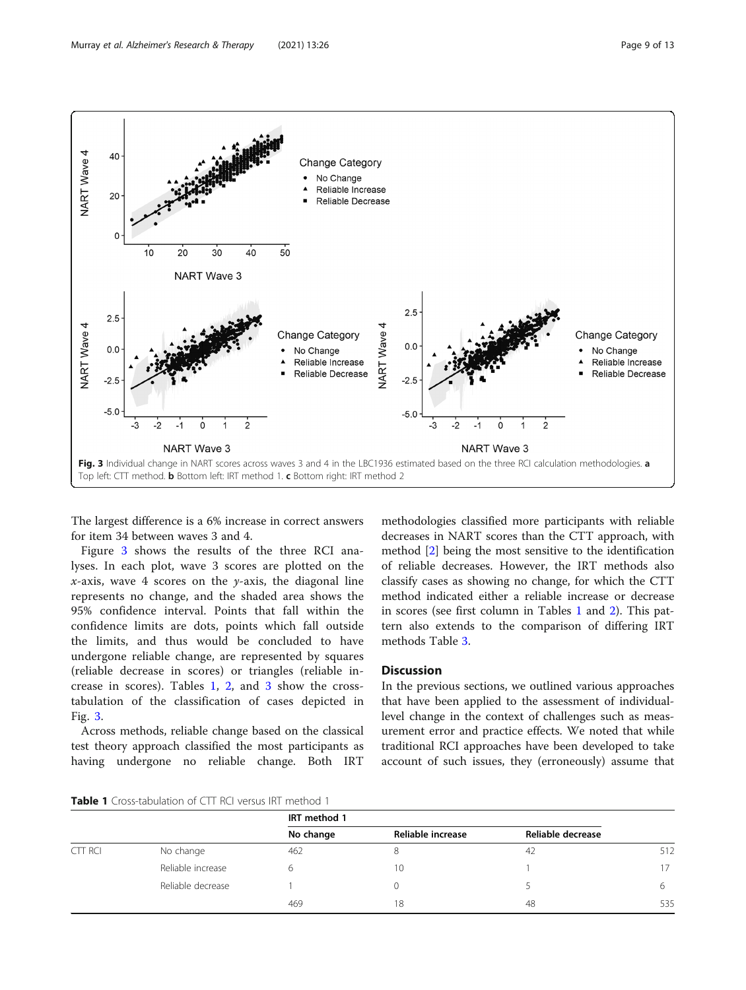

The largest difference is a 6% increase in correct answers for item 34 between waves 3 and 4.

Figure 3 shows the results of the three RCI analyses. In each plot, wave 3 scores are plotted on the *x*-axis, wave 4 scores on the *y*-axis, the diagonal line represents no change, and the shaded area shows the 95% confidence interval. Points that fall within the confidence limits are dots, points which fall outside the limits, and thus would be concluded to have undergone reliable change, are represented by squares (reliable decrease in scores) or triangles (reliable increase in scores). Tables 1, [2,](#page-9-0) and [3](#page-9-0) show the crosstabulation of the classification of cases depicted in Fig. 3.

Across methods, reliable change based on the classical test theory approach classified the most participants as having undergone no reliable change. Both IRT

methodologies classified more participants with reliable decreases in NART scores than the CTT approach, with method [[2](#page-11-0)] being the most sensitive to the identification of reliable decreases. However, the IRT methods also classify cases as showing no change, for which the CTT method indicated either a reliable increase or decrease in scores (see first column in Tables 1 and [2\)](#page-9-0). This pattern also extends to the comparison of differing IRT methods Table [3.](#page-9-0)

## **Discussion**

In the previous sections, we outlined various approaches that have been applied to the assessment of individuallevel change in the context of challenges such as measurement error and practice effects. We noted that while traditional RCI approaches have been developed to take account of such issues, they (erroneously) assume that

**Table 1** Cross-tabulation of CTT RCI versus IRT method 1

|         |                   | IRT method 1 |                   |                   |     |
|---------|-------------------|--------------|-------------------|-------------------|-----|
|         |                   | No change    | Reliable increase | Reliable decrease |     |
| CTT RCI | No change         | 462          | 8                 | 42                | 512 |
|         | Reliable increase | 6            | 10                |                   | 17  |
|         | Reliable decrease |              |                   |                   |     |
|         |                   | 469          | 18                | 48                | 535 |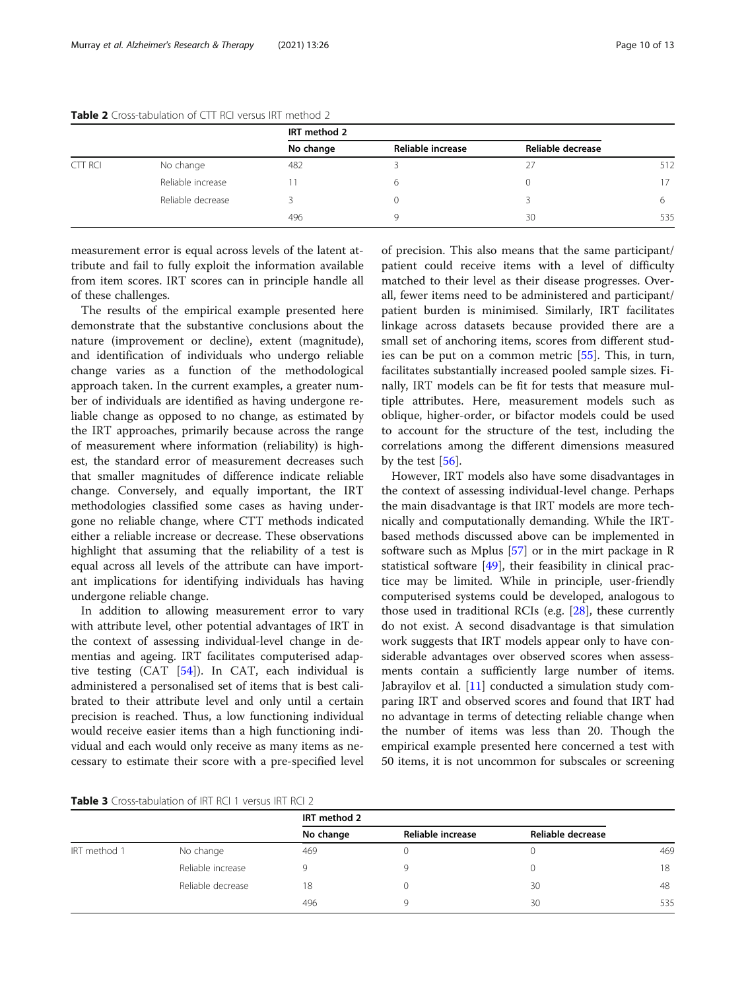|         |                   | IRT method 2 |                   |                   |     |
|---------|-------------------|--------------|-------------------|-------------------|-----|
|         |                   | No change    | Reliable increase | Reliable decrease |     |
| CTT RCI | No change         | 482          |                   |                   | 512 |
|         | Reliable increase |              | 6                 |                   | 17  |
|         | Reliable decrease |              |                   |                   |     |
|         |                   | 496          | q                 | 30                | 535 |

#### <span id="page-9-0"></span>Table 2 Cross-tabulation of CTT RCI versus IRT method 2

measurement error is equal across levels of the latent attribute and fail to fully exploit the information available from item scores. IRT scores can in principle handle all of these challenges.

The results of the empirical example presented here demonstrate that the substantive conclusions about the nature (improvement or decline), extent (magnitude), and identification of individuals who undergo reliable change varies as a function of the methodological approach taken. In the current examples, a greater number of individuals are identified as having undergone reliable change as opposed to no change, as estimated by the IRT approaches, primarily because across the range of measurement where information (reliability) is highest, the standard error of measurement decreases such that smaller magnitudes of difference indicate reliable change. Conversely, and equally important, the IRT methodologies classified some cases as having undergone no reliable change, where CTT methods indicated either a reliable increase or decrease. These observations highlight that assuming that the reliability of a test is equal across all levels of the attribute can have important implications for identifying individuals has having undergone reliable change.

In addition to allowing measurement error to vary with attribute level, other potential advantages of IRT in the context of assessing individual-level change in dementias and ageing. IRT facilitates computerised adaptive testing (CAT [\[54\]](#page-12-0)). In CAT, each individual is administered a personalised set of items that is best calibrated to their attribute level and only until a certain precision is reached. Thus, a low functioning individual would receive easier items than a high functioning individual and each would only receive as many items as necessary to estimate their score with a pre-specified level of precision. This also means that the same participant/ patient could receive items with a level of difficulty matched to their level as their disease progresses. Overall, fewer items need to be administered and participant/ patient burden is minimised. Similarly, IRT facilitates linkage across datasets because provided there are a small set of anchoring items, scores from different studies can be put on a common metric [\[55\]](#page-12-0). This, in turn, facilitates substantially increased pooled sample sizes. Finally, IRT models can be fit for tests that measure multiple attributes. Here, measurement models such as oblique, higher-order, or bifactor models could be used to account for the structure of the test, including the correlations among the different dimensions measured by the test [[56](#page-12-0)].

However, IRT models also have some disadvantages in the context of assessing individual-level change. Perhaps the main disadvantage is that IRT models are more technically and computationally demanding. While the IRTbased methods discussed above can be implemented in software such as Mplus [\[57](#page-12-0)] or in the mirt package in R statistical software [[49\]](#page-12-0), their feasibility in clinical practice may be limited. While in principle, user-friendly computerised systems could be developed, analogous to those used in traditional RCIs (e.g. [[28\]](#page-11-0), these currently do not exist. A second disadvantage is that simulation work suggests that IRT models appear only to have considerable advantages over observed scores when assessments contain a sufficiently large number of items. Jabrayilov et al. [[11\]](#page-11-0) conducted a simulation study comparing IRT and observed scores and found that IRT had no advantage in terms of detecting reliable change when the number of items was less than 20. Though the empirical example presented here concerned a test with 50 items, it is not uncommon for subscales or screening

Table 3 Cross-tabulation of IRT RCI 1 versus IRT RCI 2

|              |                   | IRT method 2 |                   |                   |     |
|--------------|-------------------|--------------|-------------------|-------------------|-----|
|              |                   | No change    | Reliable increase | Reliable decrease |     |
| IRT method 1 | No change         | 469          |                   |                   | 469 |
|              | Reliable increase |              |                   |                   | 18  |
|              | Reliable decrease | 18           |                   | 30                | 48  |
|              |                   | 496          |                   | 30                | 535 |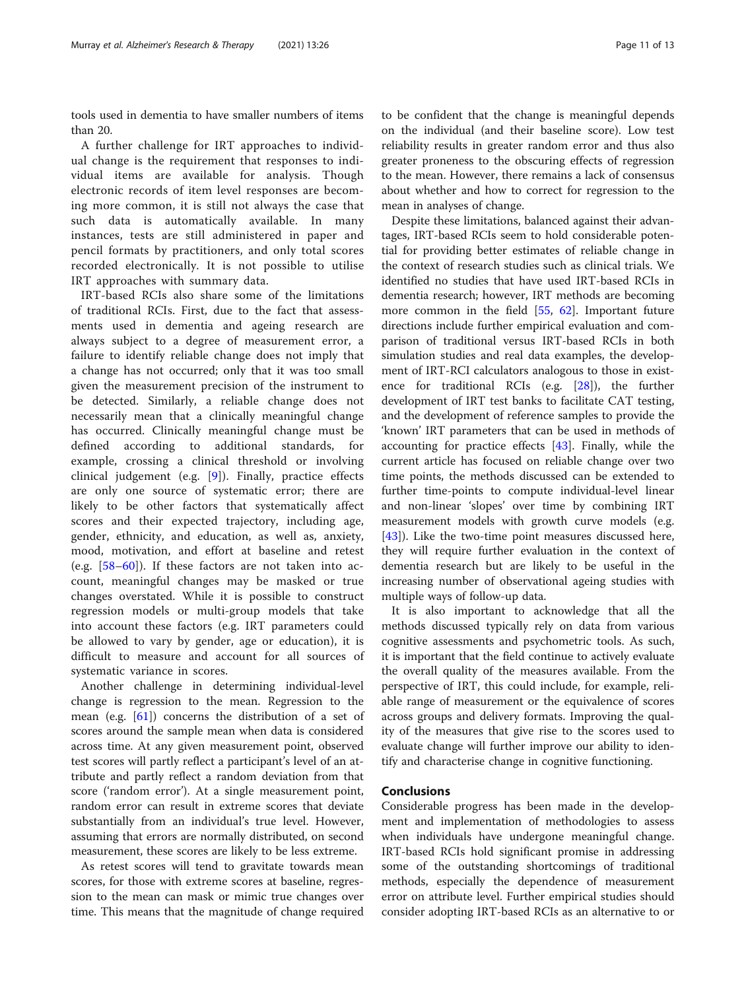tools used in dementia to have smaller numbers of items than 20.

A further challenge for IRT approaches to individual change is the requirement that responses to individual items are available for analysis. Though electronic records of item level responses are becoming more common, it is still not always the case that such data is automatically available. In many instances, tests are still administered in paper and pencil formats by practitioners, and only total scores recorded electronically. It is not possible to utilise IRT approaches with summary data.

IRT-based RCIs also share some of the limitations of traditional RCIs. First, due to the fact that assessments used in dementia and ageing research are always subject to a degree of measurement error, a failure to identify reliable change does not imply that a change has not occurred; only that it was too small given the measurement precision of the instrument to be detected. Similarly, a reliable change does not necessarily mean that a clinically meaningful change has occurred. Clinically meaningful change must be defined according to additional standards, for example, crossing a clinical threshold or involving clinical judgement (e.g. [[9](#page-11-0)]). Finally, practice effects are only one source of systematic error; there are likely to be other factors that systematically affect scores and their expected trajectory, including age, gender, ethnicity, and education, as well as, anxiety, mood, motivation, and effort at baseline and retest (e.g. [[58](#page-12-0)–[60\]](#page-12-0)). If these factors are not taken into account, meaningful changes may be masked or true changes overstated. While it is possible to construct regression models or multi-group models that take into account these factors (e.g. IRT parameters could be allowed to vary by gender, age or education), it is difficult to measure and account for all sources of systematic variance in scores.

Another challenge in determining individual-level change is regression to the mean. Regression to the mean (e.g. [\[61\]](#page-12-0)) concerns the distribution of a set of scores around the sample mean when data is considered across time. At any given measurement point, observed test scores will partly reflect a participant's level of an attribute and partly reflect a random deviation from that score ('random error'). At a single measurement point, random error can result in extreme scores that deviate substantially from an individual's true level. However, assuming that errors are normally distributed, on second measurement, these scores are likely to be less extreme.

As retest scores will tend to gravitate towards mean scores, for those with extreme scores at baseline, regression to the mean can mask or mimic true changes over time. This means that the magnitude of change required to be confident that the change is meaningful depends on the individual (and their baseline score). Low test reliability results in greater random error and thus also greater proneness to the obscuring effects of regression to the mean. However, there remains a lack of consensus about whether and how to correct for regression to the mean in analyses of change.

Despite these limitations, balanced against their advantages, IRT-based RCIs seem to hold considerable potential for providing better estimates of reliable change in the context of research studies such as clinical trials. We identified no studies that have used IRT-based RCIs in dementia research; however, IRT methods are becoming more common in the field [[55,](#page-12-0) [62\]](#page-12-0). Important future directions include further empirical evaluation and comparison of traditional versus IRT-based RCIs in both simulation studies and real data examples, the development of IRT-RCI calculators analogous to those in existence for traditional RCIs (e.g. [\[28](#page-11-0)]), the further development of IRT test banks to facilitate CAT testing, and the development of reference samples to provide the 'known' IRT parameters that can be used in methods of accounting for practice effects [[43\]](#page-12-0). Finally, while the current article has focused on reliable change over two time points, the methods discussed can be extended to further time-points to compute individual-level linear and non-linear 'slopes' over time by combining IRT measurement models with growth curve models (e.g. [[43\]](#page-12-0)). Like the two-time point measures discussed here, they will require further evaluation in the context of dementia research but are likely to be useful in the increasing number of observational ageing studies with multiple ways of follow-up data.

It is also important to acknowledge that all the methods discussed typically rely on data from various cognitive assessments and psychometric tools. As such, it is important that the field continue to actively evaluate the overall quality of the measures available. From the perspective of IRT, this could include, for example, reliable range of measurement or the equivalence of scores across groups and delivery formats. Improving the quality of the measures that give rise to the scores used to evaluate change will further improve our ability to identify and characterise change in cognitive functioning.

## Conclusions

Considerable progress has been made in the development and implementation of methodologies to assess when individuals have undergone meaningful change. IRT-based RCIs hold significant promise in addressing some of the outstanding shortcomings of traditional methods, especially the dependence of measurement error on attribute level. Further empirical studies should consider adopting IRT-based RCIs as an alternative to or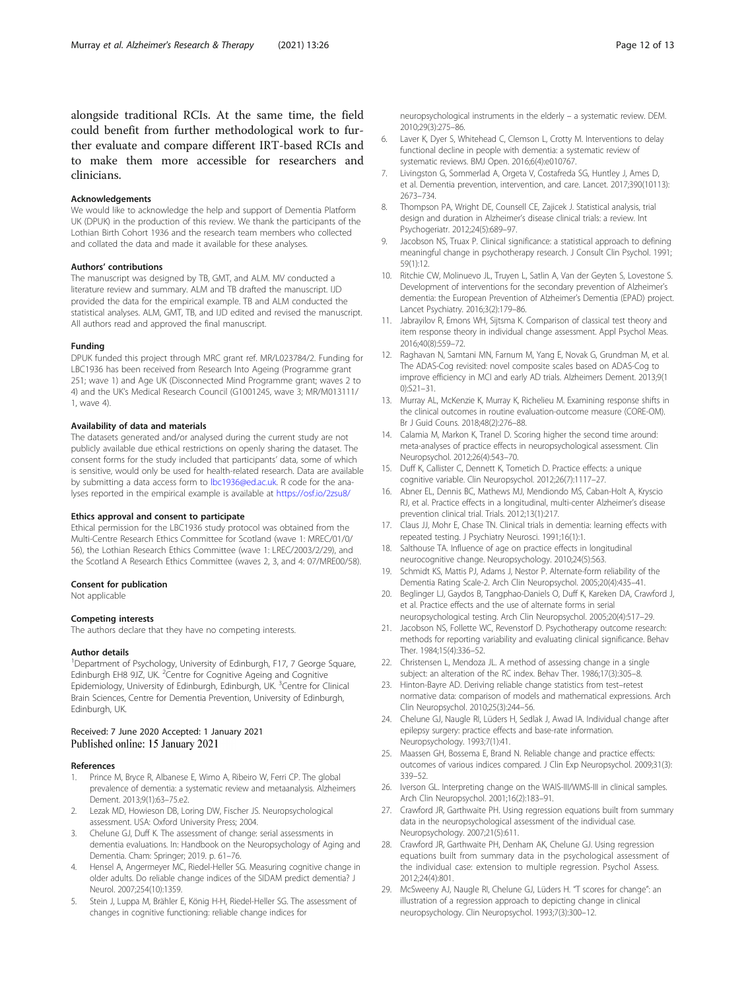<span id="page-11-0"></span>alongside traditional RCIs. At the same time, the field could benefit from further methodological work to further evaluate and compare different IRT-based RCIs and to make them more accessible for researchers and clinicians.

#### Acknowledgements

We would like to acknowledge the help and support of Dementia Platform UK (DPUK) in the production of this review. We thank the participants of the Lothian Birth Cohort 1936 and the research team members who collected and collated the data and made it available for these analyses.

#### Authors' contributions

The manuscript was designed by TB, GMT, and ALM. MV conducted a literature review and summary. ALM and TB drafted the manuscript. IJD provided the data for the empirical example. TB and ALM conducted the statistical analyses. ALM, GMT, TB, and IJD edited and revised the manuscript. All authors read and approved the final manuscript.

#### Funding

DPUK funded this project through MRC grant ref. MR/L023784/2. Funding for LBC1936 has been received from Research Into Ageing (Programme grant 251; wave 1) and Age UK (Disconnected Mind Programme grant; waves 2 to 4) and the UK's Medical Research Council (G1001245, wave 3; MR/M013111/ 1, wave 4).

#### Availability of data and materials

The datasets generated and/or analysed during the current study are not publicly available due ethical restrictions on openly sharing the dataset. The consent forms for the study included that participants' data, some of which is sensitive, would only be used for health-related research. Data are available by submitting a data access form to [lbc1936@ed.ac.uk.](mailto:lbc1936@ed.ac.uk) R code for the analyses reported in the empirical example is available at <https://osf.io/2zsu8/>

#### Ethics approval and consent to participate

Ethical permission for the LBC1936 study protocol was obtained from the Multi-Centre Research Ethics Committee for Scotland (wave 1: MREC/01/0/ 56), the Lothian Research Ethics Committee (wave 1: LREC/2003/2/29), and the Scotland A Research Ethics Committee (waves 2, 3, and 4: 07/MRE00/58).

#### Consent for publication

Not applicable

#### Competing interests

The authors declare that they have no competing interests.

#### Author details

<sup>1</sup>Department of Psychology, University of Edinburgh, F17, 7 George Square, Edinburgh EH8 9JZ, UK. <sup>2</sup> Centre for Cognitive Ageing and Cognitive Epidemiology, University of Edinburgh, Edinburgh, UK. <sup>3</sup>Centre for Clinical Brain Sciences, Centre for Dementia Prevention, University of Edinburgh, Edinburgh, UK.

#### Received: 7 June 2020 Accepted: 1 January 2021 Published online: 15 January 2021

#### References

- 1. Prince M, Bryce R, Albanese E, Wimo A, Ribeiro W, Ferri CP. The global prevalence of dementia: a systematic review and metaanalysis. Alzheimers Dement. 2013;9(1):63–75.e2.
- Lezak MD, Howieson DB, Loring DW, Fischer JS. Neuropsychological assessment. USA: Oxford University Press; 2004.
- 3. Chelune GJ, Duff K. The assessment of change: serial assessments in dementia evaluations. In: Handbook on the Neuropsychology of Aging and Dementia. Cham: Springer; 2019. p. 61–76.
- 4. Hensel A, Angermeyer MC, Riedel-Heller SG. Measuring cognitive change in older adults. Do reliable change indices of the SIDAM predict dementia? J Neurol. 2007;254(10):1359.
- Stein J, Luppa M, Brähler E, König H-H, Riedel-Heller SG. The assessment of changes in cognitive functioning: reliable change indices for

neuropsychological instruments in the elderly – a systematic review. DEM. 2010;29(3):275–86.

- 6. Laver K, Dyer S, Whitehead C, Clemson L, Crotty M. Interventions to delay functional decline in people with dementia: a systematic review of systematic reviews. BMJ Open. 2016;6(4):e010767.
- 7. Livingston G, Sommerlad A, Orgeta V, Costafreda SG, Huntley J, Ames D, et al. Dementia prevention, intervention, and care. Lancet. 2017;390(10113): 2673–734.
- 8. Thompson PA, Wright DE, Counsell CE, Zajicek J. Statistical analysis, trial design and duration in Alzheimer's disease clinical trials: a review. Int Psychogeriatr. 2012;24(5):689–97.
- Jacobson NS, Truax P. Clinical significance: a statistical approach to defining meaningful change in psychotherapy research. J Consult Clin Psychol. 1991; 59(1):12.
- 10. Ritchie CW, Molinuevo JL, Truyen L, Satlin A, Van der Geyten S, Lovestone S. Development of interventions for the secondary prevention of Alzheimer's dementia: the European Prevention of Alzheimer's Dementia (EPAD) project. Lancet Psychiatry. 2016;3(2):179–86.
- 11. Jabrayilov R, Emons WH, Sijtsma K. Comparison of classical test theory and item response theory in individual change assessment. Appl Psychol Meas. 2016;40(8):559–72.
- 12. Raghavan N, Samtani MN, Farnum M, Yang E, Novak G, Grundman M, et al. The ADAS-Cog revisited: novel composite scales based on ADAS-Cog to improve efficiency in MCI and early AD trials. Alzheimers Dement. 2013;9(1 0):S21–31.
- 13. Murray AL, McKenzie K, Murray K, Richelieu M. Examining response shifts in the clinical outcomes in routine evaluation-outcome measure (CORE-OM). Br J Guid Couns. 2018;48(2):276–88.
- 14. Calamia M, Markon K, Tranel D. Scoring higher the second time around: meta-analyses of practice effects in neuropsychological assessment. Clin Neuropsychol. 2012;26(4):543–70.
- 15. Duff K, Callister C, Dennett K, Tometich D. Practice effects: a unique cognitive variable. Clin Neuropsychol. 2012;26(7):1117–27.
- 16. Abner EL, Dennis BC, Mathews MJ, Mendiondo MS, Caban-Holt A, Kryscio RJ, et al. Practice effects in a longitudinal, multi-center Alzheimer's disease prevention clinical trial. Trials. 2012;13(1):217.
- 17. Claus JJ, Mohr E, Chase TN. Clinical trials in dementia: learning effects with repeated testing. J Psychiatry Neurosci. 1991;16(1):1.
- 18. Salthouse TA. Influence of age on practice effects in longitudinal neurocognitive change. Neuropsychology. 2010;24(5):563.
- 19. Schmidt KS, Mattis PJ, Adams J, Nestor P. Alternate-form reliability of the Dementia Rating Scale-2. Arch Clin Neuropsychol. 2005;20(4):435–41.
- 20. Beglinger LJ, Gaydos B, Tangphao-Daniels O, Duff K, Kareken DA, Crawford J, et al. Practice effects and the use of alternate forms in serial neuropsychological testing. Arch Clin Neuropsychol. 2005;20(4):517–29.
- 21. Jacobson NS, Follette WC, Revenstorf D. Psychotherapy outcome research: methods for reporting variability and evaluating clinical significance. Behav Ther. 1984;15(4):336–52.
- 22. Christensen L, Mendoza JL. A method of assessing change in a single subject: an alteration of the RC index. Behav Ther. 1986;17(3):305–8.
- 23. Hinton-Bayre AD. Deriving reliable change statistics from test–retest normative data: comparison of models and mathematical expressions. Arch Clin Neuropsychol. 2010;25(3):244–56.
- 24. Chelune GJ, Naugle RI, Lüders H, Sedlak J, Awad IA. Individual change after epilepsy surgery: practice effects and base-rate information. Neuropsychology. 1993;7(1):41.
- 25. Maassen GH, Bossema E, Brand N. Reliable change and practice effects: outcomes of various indices compared. J Clin Exp Neuropsychol. 2009;31(3): 339–52.
- 26. Iverson GL. Interpreting change on the WAIS-III/WMS-III in clinical samples. Arch Clin Neuropsychol. 2001;16(2):183–91.
- 27. Crawford JR, Garthwaite PH. Using regression equations built from summary data in the neuropsychological assessment of the individual case. Neuropsychology. 2007;21(5):611.
- 28. Crawford JR, Garthwaite PH, Denham AK, Chelune GJ. Using regression equations built from summary data in the psychological assessment of the individual case: extension to multiple regression. Psychol Assess. 2012;24(4):801.
- 29. McSweeny AJ, Naugle RI, Chelune GJ, Lüders H. "T scores for change": an illustration of a regression approach to depicting change in clinical neuropsychology. Clin Neuropsychol. 1993;7(3):300–12.